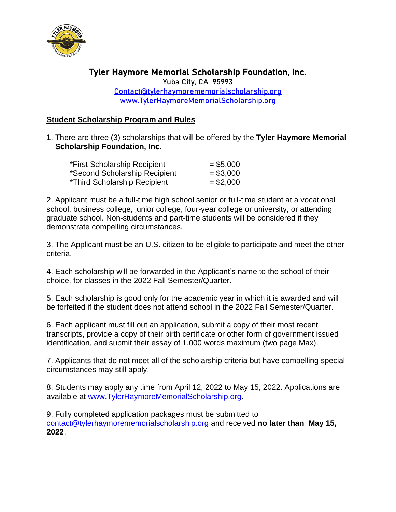

## Tyler Haymore Memorial Scholarship Foundation, Inc. Yuba City, CA 95993

[Contact@tylerhaymorememorialscholarship.org](mailto:Contact@tylerhaymorememorialscholarship.org) [www.TylerHaymoreMemorialScholarship.org](http://www.tylerhaymorememorialscholarship.org/) 

## **Student Scholarship Program and Rules**

1. There are three (3) scholarships that will be offered by the **Tyler Haymore Memorial Scholarship Foundation, Inc.**

| *First Scholarship Recipient  | $= $5,000$ |
|-------------------------------|------------|
| *Second Scholarship Recipient | $= $3,000$ |
| *Third Scholarship Recipient  | $= $2,000$ |

2. Applicant must be a full-time high school senior or full-time student at a vocational school, business college, junior college, four-year college or university, or attending graduate school. Non-students and part-time students will be considered if they demonstrate compelling circumstances.

3. The Applicant must be an U.S. citizen to be eligible to participate and meet the other criteria.

4. Each scholarship will be forwarded in the Applicant's name to the school of their choice, for classes in the 2022 Fall Semester/Quarter.

5. Each scholarship is good only for the academic year in which it is awarded and will be forfeited if the student does not attend school in the 2022 Fall Semester/Quarter.

6. Each applicant must fill out an application, submit a copy of their most recent transcripts, provide a copy of their birth certificate or other form of government issued identification, and submit their essay of 1,000 words maximum (two page Max).

7. Applicants that do not meet all of the scholarship criteria but have compelling special circumstances may still apply.

8. Students may apply any time from April 12, 2022 to May 15, 2022. Applications are available at [www.TylerHaymoreMemorialScholarship.org.](http://www.tylerhaymorememorialscholarship.org/)

9. Fully completed application packages must be submitted to [contact@tylerhaymorememorialscholarship.org](mailto:contact@tylerhaymorememorialscholarship.org) and received **no later than May 15, 2022**,